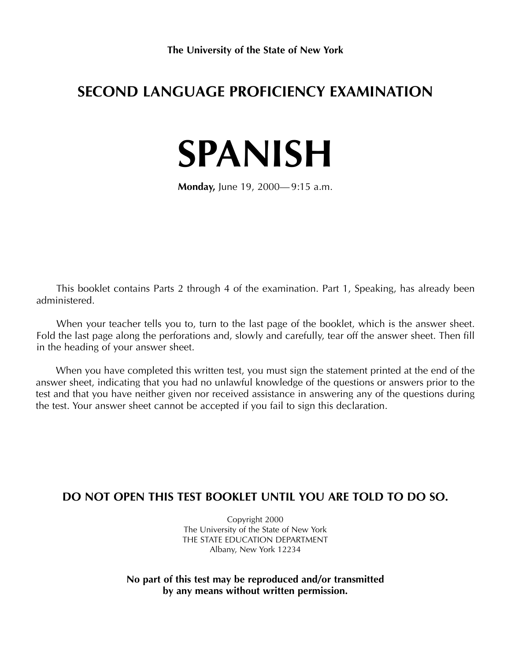## **SECOND LANGUAGE PROFICIENCY EXAMINATION**

# **SPANISH**

**Monday,** June 19, 2000— 9:15 a.m.

This booklet contains Parts 2 through 4 of the examination. Part 1, Speaking, has already been administered.

When your teacher tells you to, turn to the last page of the booklet, which is the answer sheet. Fold the last page along the perforations and, slowly and carefully, tear off the answer sheet. Then fill in the heading of your answer sheet.

When you have completed this written test, you must sign the statement printed at the end of the answer sheet, indicating that you had no unlawful knowledge of the questions or answers prior to the test and that you have neither given nor received assistance in answering any of the questions during the test. Your answer sheet cannot be accepted if you fail to sign this declaration.

### **DO NOT OPEN THIS TEST BOOKLET UNTIL YOU ARE TOLD TO DO SO.**

Copyright 2000 The University of the State of New York THE STATE EDUCATION DEPARTMENT Albany, New York 12234

**No part of this test may be reproduced and/or transmitted by any means without written permission.**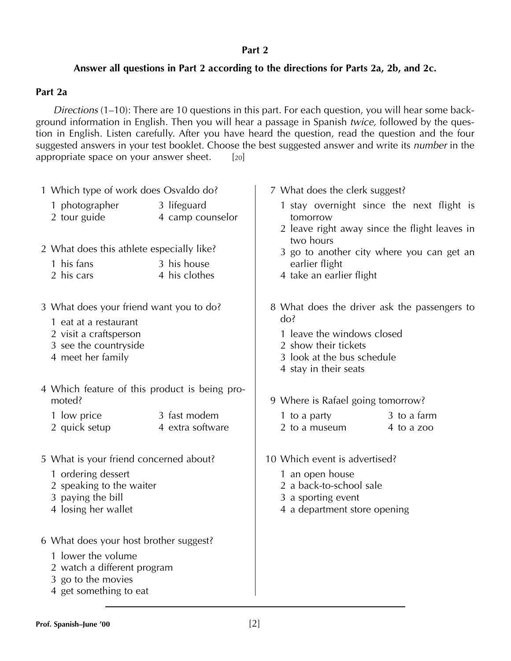#### **Part 2**

#### **Answer all questions in Part 2 according to the directions for Parts 2a, 2b, and 2c.**

#### **Part 2a**

*Directions* (1–10): There are 10 questions in this part. For each question, you will hear some background information in English. Then you will hear a passage in Spanish *twice,* followed by the question in English. Listen carefully. After you have heard the question, read the question and the four suggested answers in your test booklet. Choose the best suggested answer and write its *number* in the appropriate space on your answer sheet. [20]

|  | 1 Which type of work does Osvaldo do?                                                                                                       |                                  | 7 What does the clerk suggest?                                                                                                                                   |  |  |  |
|--|---------------------------------------------------------------------------------------------------------------------------------------------|----------------------------------|------------------------------------------------------------------------------------------------------------------------------------------------------------------|--|--|--|
|  | 1 photographer<br>2 tour guide                                                                                                              | 3 lifeguard<br>4 camp counselor  | 1 stay overnight since the next flight is<br>tomorrow<br>2 leave right away since the flight leaves in                                                           |  |  |  |
|  | 2 What does this athlete especially like?                                                                                                   |                                  | two hours<br>3 go to another city where you can get an                                                                                                           |  |  |  |
|  | 1 his fans<br>2 his cars                                                                                                                    | 3 his house<br>4 his clothes     | earlier flight<br>4 take an earlier flight                                                                                                                       |  |  |  |
|  | 3 What does your friend want you to do?<br>1 eat at a restaurant<br>2 visit a craftsperson<br>3 see the countryside<br>4 meet her family    |                                  | 8 What does the driver ask the passengers to<br>do?<br>1 leave the windows closed<br>2 show their tickets<br>3 look at the bus schedule<br>4 stay in their seats |  |  |  |
|  |                                                                                                                                             |                                  |                                                                                                                                                                  |  |  |  |
|  | 4 Which feature of this product is being pro-<br>moted?                                                                                     |                                  | 9 Where is Rafael going tomorrow?                                                                                                                                |  |  |  |
|  | 1 low price<br>2 quick setup                                                                                                                | 3 fast modem<br>4 extra software | 3 to a farm<br>1 to a party<br>2 to a museum<br>4 to a zoo                                                                                                       |  |  |  |
|  | 5 What is your friend concerned about?                                                                                                      |                                  | 10 Which event is advertised?                                                                                                                                    |  |  |  |
|  | 1 ordering dessert<br>2 speaking to the waiter<br>3 paying the bill<br>4 losing her wallet                                                  |                                  | 1 an open house<br>2 a back-to-school sale<br>3 a sporting event<br>4 a department store opening                                                                 |  |  |  |
|  | 6 What does your host brother suggest?<br>1 lower the volume<br>2 watch a different program<br>3 go to the movies<br>4 get something to eat |                                  |                                                                                                                                                                  |  |  |  |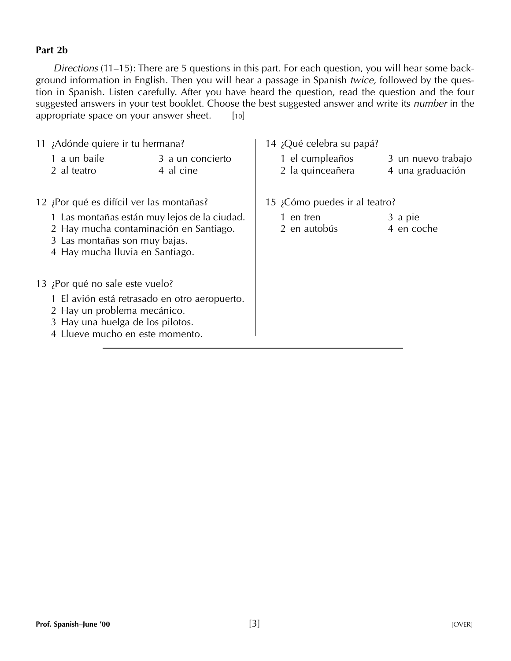#### **Part 2b**

*Directions* (11–15): There are 5 questions in this part. For each question, you will hear some background information in English. Then you will hear a passage in Spanish *twice,* followed by the question in Spanish. Listen carefully. After you have heard the question, read the question and the four suggested answers in your test booklet. Choose the best suggested answer and write its *number* in the appropriate space on your answer sheet.  $[10]$ 

| 11 ¡Adónde quiere ir tu hermana?                                                                                                                                                       |                               | 14 ¡Qué celebra su papá? |                                     |  |                                        |
|----------------------------------------------------------------------------------------------------------------------------------------------------------------------------------------|-------------------------------|--------------------------|-------------------------------------|--|----------------------------------------|
| 1 a un baile<br>2 al teatro                                                                                                                                                            | 3 a un concierto<br>4 al cine |                          | 1 el cumpleaños<br>2 la quinceañera |  | 3 un nuevo trabajo<br>4 una graduación |
| 12 ¡Por qué es difícil ver las montañas?                                                                                                                                               |                               |                          | 15 ¿Cómo puedes ir al teatro?       |  |                                        |
| 1 Las montañas están muy lejos de la ciudad.<br>2 Hay mucha contaminación en Santiago.<br>3 Las montañas son muy bajas.<br>4 Hay mucha Iluvia en Santiago.                             |                               |                          | 1 en tren<br>2 en autobús           |  | 3 a pie<br>4 en coche                  |
| 13 ¡Por qué no sale este vuelo?<br>1 El avión está retrasado en otro aeropuerto.<br>2 Hay un problema mecánico.<br>3 Hay una huelga de los pilotos.<br>4 Llueve mucho en este momento. |                               |                          |                                     |  |                                        |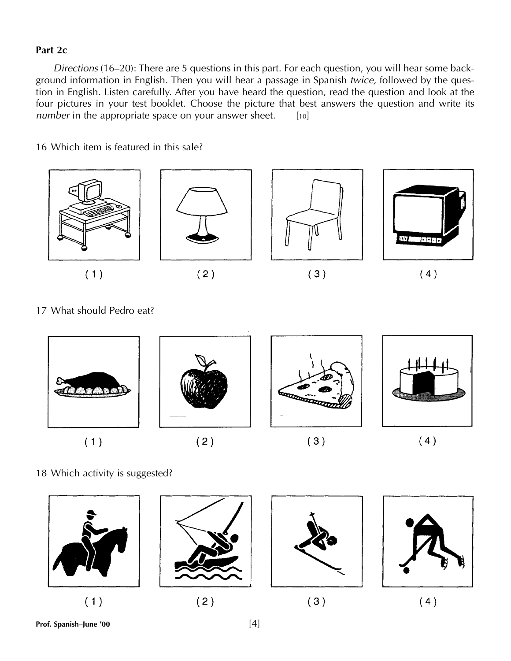#### **Part 2c**

*Directions* (16–20): There are 5 questions in this part. For each question, you will hear some background information in English. Then you will hear a passage in Spanish *twice,* followed by the question in English. Listen carefully. After you have heard the question, read the question and look at the four pictures in your test booklet. Choose the picture that best answers the question and write its *number* in the appropriate space on your answer sheet. [10]

16 Which item is featured in this sale?



17 What should Pedro eat?



18 Which activity is suggested?

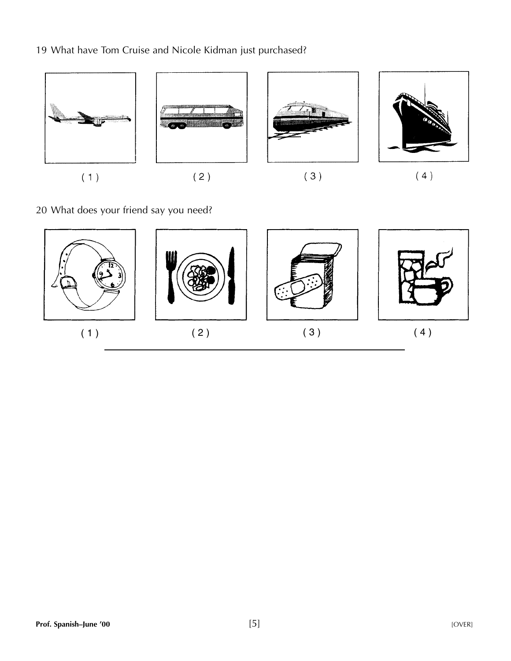19 What have Tom Cruise and Nicole Kidman just purchased?



20 What does your friend say you need?

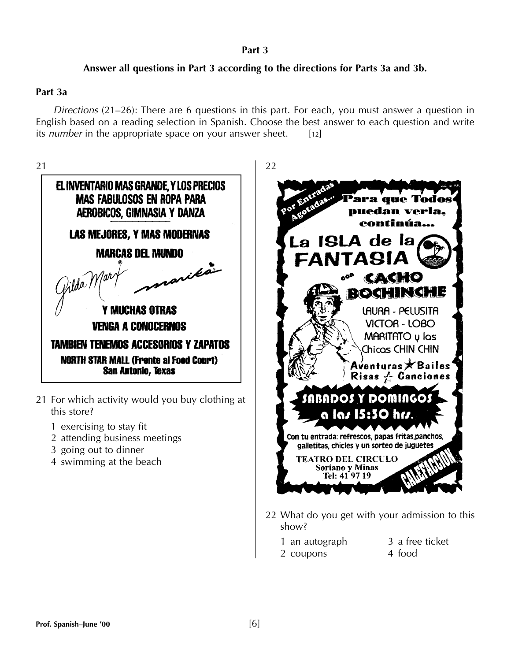#### **Part 3**

#### **Answer all questions in Part 3 according to the directions for Parts 3a and 3b.**

#### **Part 3a**

*Directions* (21–26): There are 6 questions in this part. For each, you must answer a question in English based on a reading selection in Spanish. Choose the best answer to each question and write its *number* in the appropriate space on your answer sheet. [12]



- 21 For which activity would you buy clothing at this store?
	- 1 exercising to stay fit
	- 2 attending business meetings
	- 3 going out to dinner
	- 4 swimming at the beach



- 22 What do you get with your admission to this show?
	- 1 an autograph 3 a free ticket
	- 2 coupons 4 food
-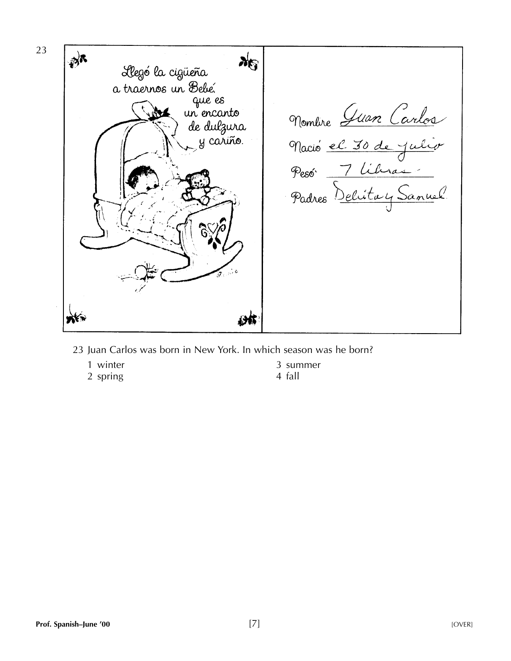

- 23 Juan Carlos was born in New York. In which season was he born?
	- 1 winter 3 summer<br>2 spring 3 4 fall
	- 2 spring
- 
-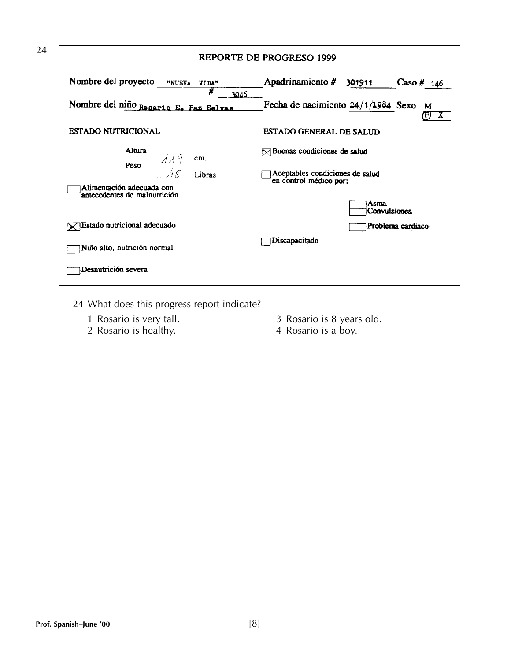| REPORTE DE PROGRESO 1999                                            |                                                                                           |  |  |  |
|---------------------------------------------------------------------|-------------------------------------------------------------------------------------------|--|--|--|
| Nombre del proyecto<br>"NUEVA<br>VIDA"<br>#<br>3046                 | Apadrinamiento #<br>301911<br>Caso $#$ 146                                                |  |  |  |
| Nombre del niño Rosario E. Paz Selvas                               | Fecha de nacimiento $24/1/1984$ Sexo<br>M                                                 |  |  |  |
| <b>ESTADO NUTRICIONAL</b>                                           | <b>ESTADO GENERAL DE SALUD</b>                                                            |  |  |  |
| Altura<br>cm.<br>Peso                                               | $\triangleright$ Buenas condiciones de salud                                              |  |  |  |
| Libras<br>Alimentación adecuada con<br>antecedentes de malnutrición | Aceptables condiciones de salud<br>en control médico por:<br><b>Asma</b><br>Convulsiones. |  |  |  |
| $\sqrt{ }$ Estado nutricional adecuado                              | Problema cardiaco                                                                         |  |  |  |
| Niño alto, nutrición normal                                         | Discapacitado                                                                             |  |  |  |
| Desnutrición severa                                                 |                                                                                           |  |  |  |

- 24 What does this progress report indicate?
	- 1 Rosario is very tall.<br>2 Rosario is healthy.
	-
- 3 Rosario is 8 years old.<br>4 Rosario is a boy.
-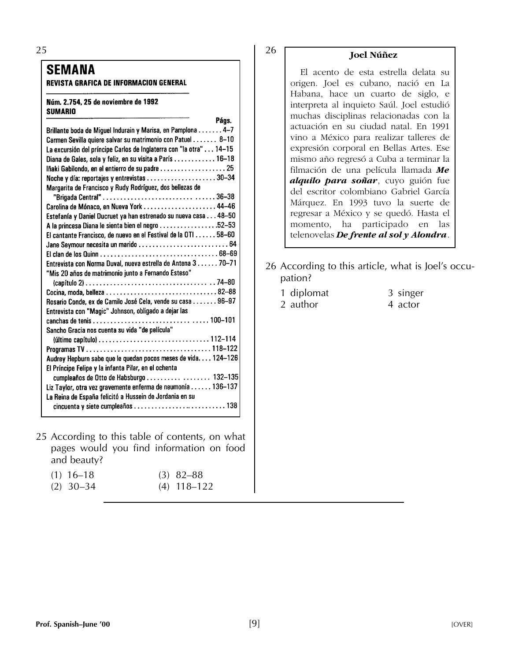25

#### **SEMANA**

**REVISTA GRAFICA DE INFORMACION GENERAL** 

#### Núm. 2.754, 25 de noviembre de 1992 **SUMARIO**

| rays.                                                              |  |
|--------------------------------------------------------------------|--|
| Brillante boda de Miguel Indurain y Marisa, en Pamplona4-7         |  |
| Carmen Sevilla quiere salvar su matrimonio con Patuel 8-10         |  |
| La excursión del príncipe Carlos de Inglaterra con "la otra" 14-15 |  |
| Diana de Gales, sola y feliz, en su visita a París  16-18          |  |
| lñaki Gabilondo, en el entierro de su padre  25                    |  |
| Noche y día: reportajes y entrevistas 30-34                        |  |
| Margarita de Francisco y Rudy Rodríguez, dos bellezas de           |  |
|                                                                    |  |
|                                                                    |  |
| Estefanía y Daniel Ducruet ya han estrenado su nueva casa 48-50    |  |
| A la princesa Diana le sienta bien el negro 52-53                  |  |
| El cantante Francisco, de nuevo en el Festival de la OTI 58-60     |  |
|                                                                    |  |
|                                                                    |  |
| Entrevista con Norma Duval, nueva estrella de Antena 3 70-71       |  |
| "Mis 20 años de matrimonio junto a Fernando Esteso"                |  |
|                                                                    |  |
|                                                                    |  |
| Rosario Conde, ex de Camilo José Cela, vende su casa 96-97         |  |
| Entrevista con "Magic" Johnson, obligado a dejar las               |  |
|                                                                    |  |
| Sancho Gracia nos cuenta su vida "de película"                     |  |
|                                                                    |  |
|                                                                    |  |
| Audrey Hepburn sabe que le quedan pocos meses de vida 124-126      |  |
| El Príncipe Felipe y la infanta Pilar, en el ochenta               |  |
| cumpleaños de Otto de Habsburgo  132-135                           |  |
| Liz Taylor, otra vez gravemente enferma de neumonía 136-137        |  |
| La Reina de España felicitó a Hussein de Jordania en su            |  |
|                                                                    |  |
|                                                                    |  |

25 According to this table of contents, on what pages would you find information on food and beauty?

| $(1)$ 16-18 | $(3)$ 82–88   |
|-------------|---------------|
| $(2)$ 30-34 | $(4)$ 118-122 |

 $\mathbf{B}$ 

## 26 **Joel Núñez**

El acento de esta estrella delata su origen. Joel es cubano, nació en La Habana, hace un cuarto de siglo, e interpreta al inquieto Saúl. Joel estudió muchas disciplinas relacionadas con la actuación en su ciudad natal. En 1991 vino a México para realizar talleres de expresión corporal en Bellas Artes. Ese mismo año regresó a Cuba a terminar la filmación de una película llamada *Me alquilo para soñar*, cuyo guión fue del escritor colombiano Gabriel García Márquez. En 1993 tuvo la suerte de regresar a México y se quedó. Hasta el momento, ha participado en las telenovelas *De frente al sol y Alondra*.

- 26 According to this article, what is Joel's occupation?
	- 1 diplomat 3 singer 2 author 4 actor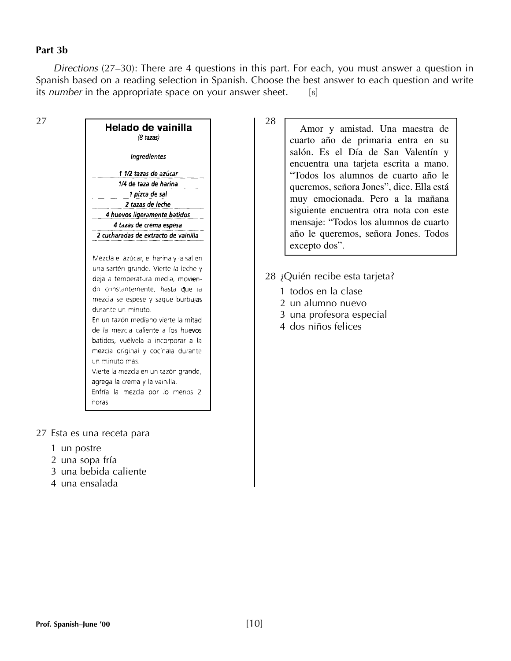#### **Part 3b**

27

*Directions* (27–30): There are 4 questions in this part. For each, you must answer a question in Spanish based on a reading selection in Spanish. Choose the best answer to each question and write its *number* in the appropriate space on your answer sheet. [8]

|                                      | Helado de vainilla<br>(8 tazas)                                                                                                                                                                                                                                                                             |
|--------------------------------------|-------------------------------------------------------------------------------------------------------------------------------------------------------------------------------------------------------------------------------------------------------------------------------------------------------------|
|                                      | <b>Ingredientes</b>                                                                                                                                                                                                                                                                                         |
|                                      | 1 1/2 tazas de azúcar                                                                                                                                                                                                                                                                                       |
|                                      | 1/4 de taza de harina                                                                                                                                                                                                                                                                                       |
|                                      | 1 pizca de sal                                                                                                                                                                                                                                                                                              |
|                                      | 2 tazas de leche                                                                                                                                                                                                                                                                                            |
|                                      | 4 huevos ligeramente batidos                                                                                                                                                                                                                                                                                |
|                                      | 4 tazas de crema espesa                                                                                                                                                                                                                                                                                     |
|                                      | 2 cucharadas de extracto de vainilla                                                                                                                                                                                                                                                                        |
| durante un minuto.<br>un minuto más. | deja a temperatura media, movien-<br>do constantemente, hasta que la<br>mezcia se espese y saque burbujas<br>En un tazón mediano vierte la mitad<br>de la mezcla caliente a los huevos<br>batidos, vuélvela a incorporar a la<br>mezcia original y cocínala durante<br>Vierte la mezcla en un tazón grande, |

- 27 Esta es una receta para
	- 1 un postre
	- 2 una sopa fría
	- 3 una bebida caliente
	- 4 una ensalada
- Amor y amistad. Una maestra de cuarto año de primaria entra en su salón. Es el Día de San Valentín y encuentra una tarjeta escrita a mano. "Todos los alumnos de cuarto año le queremos, señora Jones", dice. Ella está muy emocionada. Pero a la mañana siguiente encuentra otra nota con este mensaje: "Todos los alumnos de cuarto año le queremos, señora Jones. Todos excepto dos".
- 28 ¿Quién recibe esta tarjeta?
	- 1 todos en la clase
	- 2 un alumno nuevo
	- 3 una profesora especial
	- 4 dos niños felices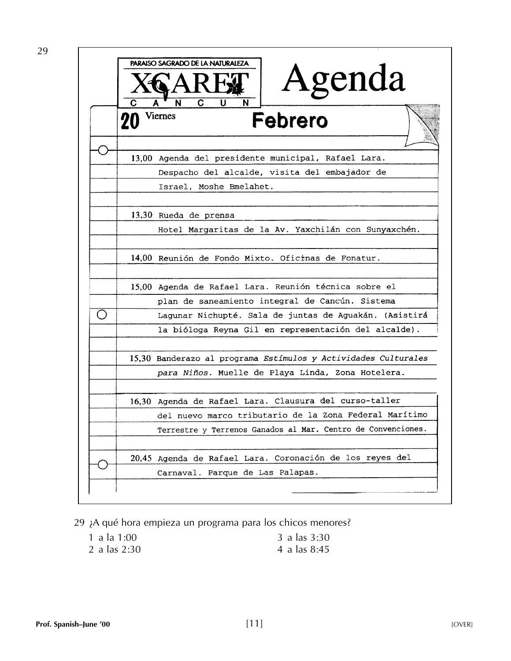

29 ¿A qué hora empieza un programa para los chicos menores?

| 1 a la 1:00    | 3 a las 3:30 |
|----------------|--------------|
| 2 a las $2:30$ | 4 a las 8:45 |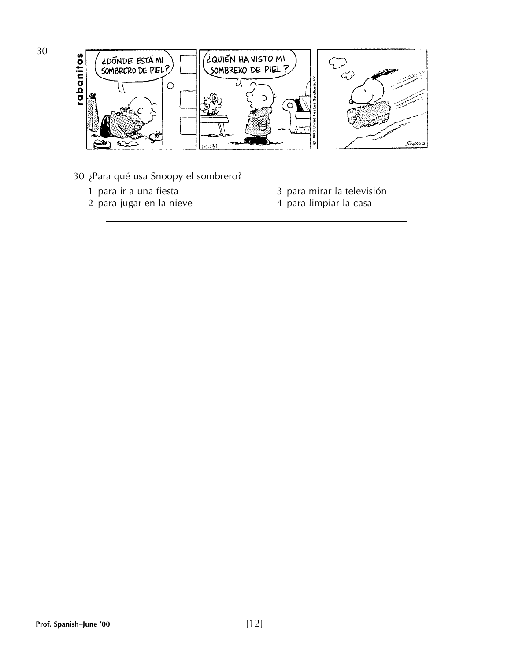

- 30 ¿Para qué usa Snoopy el sombrero?
	-
	- 2 para jugar en la nieve
	- 1 para ir a una fiesta<br>2 para jugar en la nieve<br>3 para limpiar la casa
		-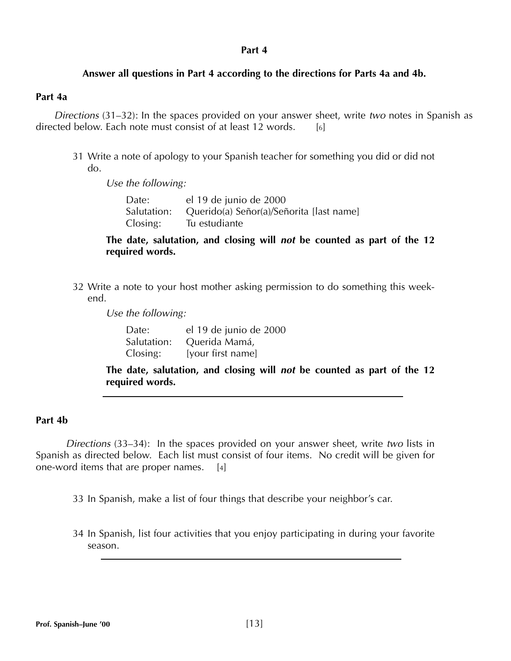#### **Answer all questions in Part 4 according to the directions for Parts 4a and 4b.**

#### **Part 4a**

*Directions* (31–32): In the spaces provided on your answer sheet, write *two* notes in Spanish as directed below. Each note must consist of at least 12 words. [6]

31 Write a note of apology to your Spanish teacher for something you did or did not do.

*Use the following:*

Date: el 19 de junio de 2000 Salutation: Querido(a) Señor(a)/Señorita [last name] Closing: Tu estudiante

#### **The date, salutation, and closing will** *not* **be counted as part of the 12 required words.**

32 Write a note to your host mother asking permission to do something this weekend.

*Use the following:*

| Date:       | el 19 de junio de 2000 |
|-------------|------------------------|
| Salutation: | Querida Mamá,          |
| Closing:    | [your first name]      |

**The date, salutation, and closing will** *not* **be counted as part of the 12 required words.**

#### **Part 4b**

*Directions* (33–34): In the spaces provided on your answer sheet, write *two* lists in Spanish as directed below. Each list must consist of four items. No credit will be given for one-word items that are proper names. [4]

33 In Spanish, make a list of four things that describe your neighbor's car.

34 In Spanish, list four activities that you enjoy participating in during your favorite season.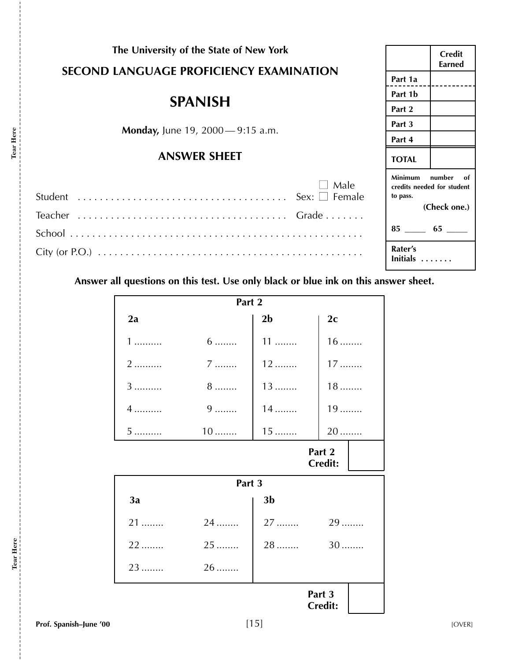|                                                | The University of the State of New York                                             |                     |                |      |                                | <b>Credit</b>                                              |
|------------------------------------------------|-------------------------------------------------------------------------------------|---------------------|----------------|------|--------------------------------|------------------------------------------------------------|
| <b>SECOND LANGUAGE PROFICIENCY EXAMINATION</b> |                                                                                     |                     |                |      | <b>Earned</b>                  |                                                            |
|                                                |                                                                                     |                     |                |      |                                |                                                            |
|                                                |                                                                                     |                     |                |      | Part 1b                        |                                                            |
| <b>SPANISH</b>                                 |                                                                                     |                     |                |      |                                |                                                            |
|                                                | <b>Monday, June 19, 2000</b> —9:15 a.m.                                             |                     |                |      | Part 3                         |                                                            |
|                                                |                                                                                     |                     |                |      | Part 4                         |                                                            |
|                                                |                                                                                     | <b>ANSWER SHEET</b> |                |      | <b>TOTAL</b>                   |                                                            |
|                                                |                                                                                     |                     |                | Male | Minimum<br>to pass.<br>Rater's | number<br>of<br>credits needed for student<br>(Check one.) |
|                                                | Answer all questions on this test. Use only black or blue ink on this answer sheet. |                     |                |      | Initials                       |                                                            |
|                                                |                                                                                     |                     |                |      |                                |                                                            |
|                                                |                                                                                     | Part 2              |                |      |                                |                                                            |
|                                                | 2a                                                                                  |                     | 2 <sub>b</sub> | 2c   |                                |                                                            |
|                                                |                                                                                     | $6 \dots$           | $11$           | 16.  |                                |                                                            |

| $1$                      | $6 \dots$ | $11$           | $16$ |  |  |  |
|--------------------------|-----------|----------------|------|--|--|--|
| 2                        | $7 \dots$ | $12$           | $17$ |  |  |  |
| 3                        | $8$       | $13$           | $18$ |  |  |  |
| $4$                      | $9$       | $14$           | 19   |  |  |  |
| 5                        | $10$      | $15$           | 20   |  |  |  |
| Part 2<br><b>Credit:</b> |           |                |      |  |  |  |
| Part 3                   |           |                |      |  |  |  |
|                          |           |                |      |  |  |  |
| 3a                       |           | 3 <sub>b</sub> |      |  |  |  |
| 21                       | 24        | 27             | 29   |  |  |  |
| 22                       | 25        | $28$           | $30$ |  |  |  |
| 23                       | 26        |                |      |  |  |  |

**Tear Here**

Tear Here

j

**Tear Here**

Tear Here